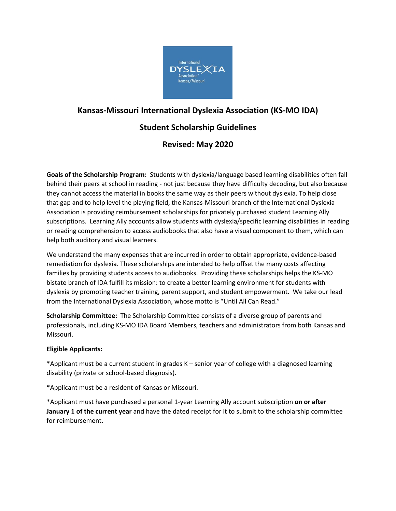

# **Kansas-Missouri International Dyslexia Association (KS-MO IDA)**

## **Student Scholarship Guidelines**

## **Revised: May 2020**

**Goals of the Scholarship Program:** Students with dyslexia/language based learning disabilities often fall behind their peers at school in reading - not just because they have difficulty decoding, but also because they cannot access the material in books the same way as their peers without dyslexia. To help close that gap and to help level the playing field, the Kansas-Missouri branch of the International Dyslexia Association is providing reimbursement scholarships for privately purchased student Learning Ally subscriptions. Learning Ally accounts allow students with dyslexia/specific learning disabilities in reading or reading comprehension to access audiobooks that also have a visual component to them, which can help both auditory and visual learners.

We understand the many expenses that are incurred in order to obtain appropriate, evidence-based remediation for dyslexia. These scholarships are intended to help offset the many costs affecting families by providing students access to audiobooks. Providing these scholarships helps the KS-MO bistate branch of IDA fulfill its mission: to create a better learning environment for students with dyslexia by promoting teacher training, parent support, and student empowerment. We take our lead from the International Dyslexia Association, whose motto is "Until All Can Read."

**Scholarship Committee:** The Scholarship Committee consists of a diverse group of parents and professionals, including KS-MO IDA Board Members, teachers and administrators from both Kansas and Missouri.

#### **Eligible Applicants:**

\*Applicant must be a current student in grades K – senior year of college with a diagnosed learning disability (private or school-based diagnosis).

\*Applicant must be a resident of Kansas or Missouri.

\*Applicant must have purchased a personal 1-year Learning Ally account subscription **on or after January 1 of the current year** and have the dated receipt for it to submit to the scholarship committee for reimbursement.